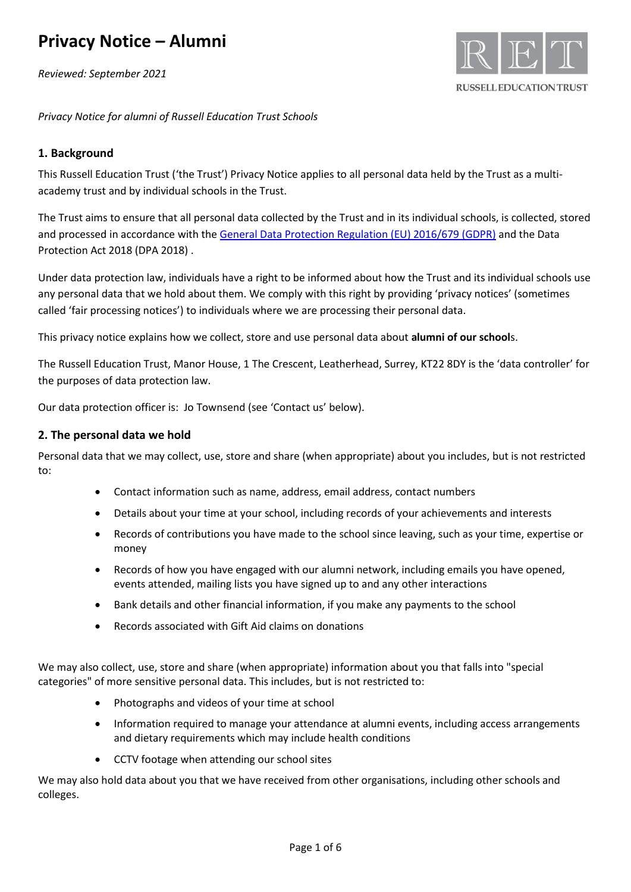*Reviewed: September 2021*



*Privacy Notice for alumni of Russell Education Trust Schools*

### **1. Background**

This Russell Education Trust ('the Trust') Privacy Notice applies to all personal data held by the Trust as a multiacademy trust and by individual schools in the Trust.

The Trust aims to ensure that all personal data collected by the Trust and in its individual schools, is collected, stored and processed in accordance with th[e General Data Protection Regulation \(EU\) 2016/679 \(GDPR\)](http://data.consilium.europa.eu/doc/document/ST-5419-2016-INIT/en/pdf) and the Data Protection Act 2018 (DPA 2018) .

Under data protection law, individuals have a right to be informed about how the Trust and its individual schools use any personal data that we hold about them. We comply with this right by providing 'privacy notices' (sometimes called 'fair processing notices') to individuals where we are processing their personal data.

This privacy notice explains how we collect, store and use personal data about **alumni of our school**s.

The Russell Education Trust, Manor House, 1 The Crescent, Leatherhead, Surrey, KT22 8DY is the 'data controller' for the purposes of data protection law.

Our data protection officer is: Jo Townsend (see 'Contact us' below).

#### **2. The personal data we hold**

Personal data that we may collect, use, store and share (when appropriate) about you includes, but is not restricted to:

- Contact information such as name, address, email address, contact numbers
- Details about your time at your school, including records of your achievements and interests
- Records of contributions you have made to the school since leaving, such as your time, expertise or money
- Records of how you have engaged with our alumni network, including emails you have opened, events attended, mailing lists you have signed up to and any other interactions
- Bank details and other financial information, if you make any payments to the school
- Records associated with Gift Aid claims on donations

We may also collect, use, store and share (when appropriate) information about you that falls into "special categories" of more sensitive personal data. This includes, but is not restricted to:

- Photographs and videos of your time at school
- Information required to manage your attendance at alumni events, including access arrangements and dietary requirements which may include health conditions
- CCTV footage when attending our school sites

We may also hold data about you that we have received from other organisations, including other schools and colleges.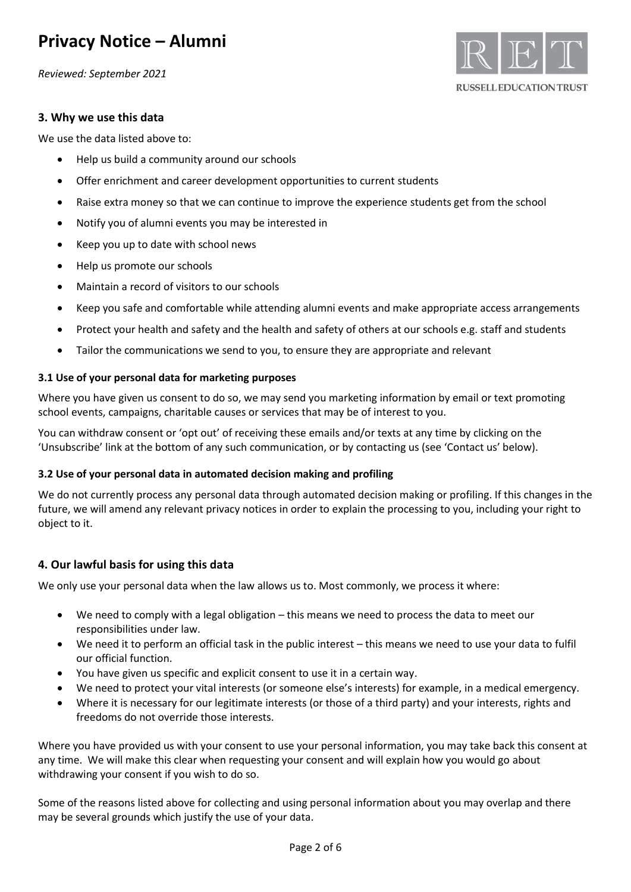*Reviewed: September 2021*

#### **3. Why we use this data**

We use the data listed above to:

- Help us build a community around our schools
- Offer enrichment and career development opportunities to current students
- Raise extra money so that we can continue to improve the experience students get from the school
- Notify you of alumni events you may be interested in
- Keep you up to date with school news
- Help us promote our schools
- Maintain a record of visitors to our schools
- Keep you safe and comfortable while attending alumni events and make appropriate access arrangements
- Protect your health and safety and the health and safety of others at our schools e.g. staff and students
- Tailor the communications we send to you, to ensure they are appropriate and relevant

#### **3.1 Use of your personal data for marketing purposes**

Where you have given us consent to do so, we may send you marketing information by email or text promoting school events, campaigns, charitable causes or services that may be of interest to you.

You can withdraw consent or 'opt out' of receiving these emails and/or texts at any time by clicking on the 'Unsubscribe' link at the bottom of any such communication, or by contacting us (see 'Contact us' below).

#### **3.2 Use of your personal data in automated decision making and profiling**

We do not currently process any personal data through automated decision making or profiling. If this changes in the future, we will amend any relevant privacy notices in order to explain the processing to you, including your right to object to it.

### **4. Our lawful basis for using this data**

We only use your personal data when the law allows us to. Most commonly, we process it where:

- We need to comply with a legal obligation this means we need to process the data to meet our responsibilities under law.
- We need it to perform an official task in the public interest this means we need to use your data to fulfil our official function.
- You have given us specific and explicit consent to use it in a certain way.
- We need to protect your vital interests (or someone else's interests) for example, in a medical emergency.
- Where it is necessary for our legitimate interests (or those of a third party) and your interests, rights and freedoms do not override those interests.

Where you have provided us with your consent to use your personal information, you may take back this consent at any time. We will make this clear when requesting your consent and will explain how you would go about withdrawing your consent if you wish to do so.

Some of the reasons listed above for collecting and using personal information about you may overlap and there may be several grounds which justify the use of your data.

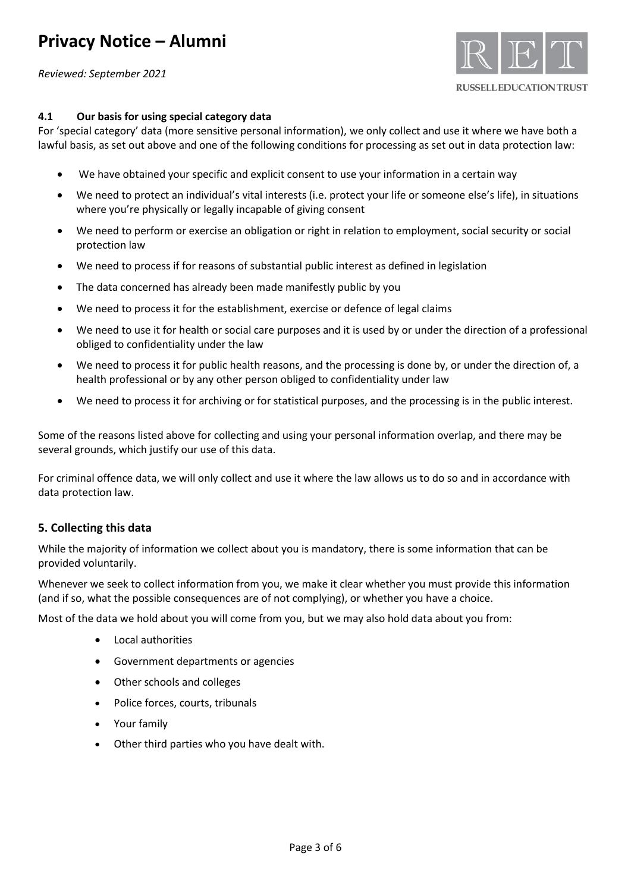*Reviewed: September 2021*



#### **4.1 Our basis for using special category data**

For 'special category' data (more sensitive personal information), we only collect and use it where we have both a lawful basis, as set out above and one of the following conditions for processing as set out in data protection law:

- We have obtained your specific and explicit consent to use your information in a certain way
- We need to protect an individual's vital interests (i.e. protect your life or someone else's life), in situations where you're physically or legally incapable of giving consent
- We need to perform or exercise an obligation or right in relation to employment, social security or social protection law
- We need to process if for reasons of substantial public interest as defined in legislation
- The data concerned has already been made manifestly public by you
- We need to process it for the establishment, exercise or defence of legal claims
- We need to use it for health or social care purposes and it is used by or under the direction of a professional obliged to confidentiality under the law
- We need to process it for public health reasons, and the processing is done by, or under the direction of, a health professional or by any other person obliged to confidentiality under law
- We need to process it for archiving or for statistical purposes, and the processing is in the public interest.

Some of the reasons listed above for collecting and using your personal information overlap, and there may be several grounds, which justify our use of this data.

For criminal offence data, we will only collect and use it where the law allows us to do so and in accordance with data protection law.

#### **5. Collecting this data**

While the majority of information we collect about you is mandatory, there is some information that can be provided voluntarily.

Whenever we seek to collect information from you, we make it clear whether you must provide this information (and if so, what the possible consequences are of not complying), or whether you have a choice.

Most of the data we hold about you will come from you, but we may also hold data about you from:

- Local authorities
- Government departments or agencies
- Other schools and colleges
- Police forces, courts, tribunals
- Your family
- Other third parties who you have dealt with.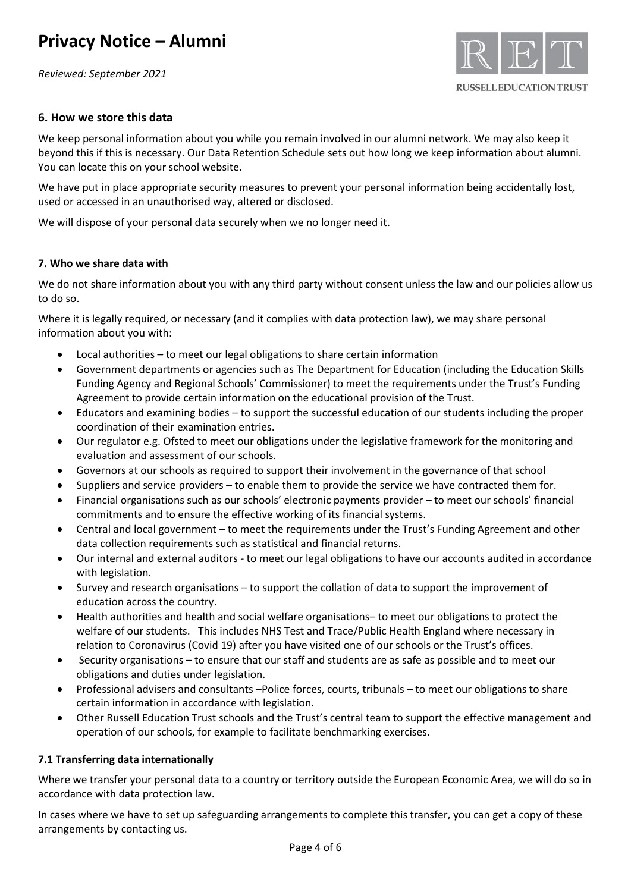*Reviewed: September 2021*



#### **6. How we store this data**

We keep personal information about you while you remain involved in our alumni network. We may also keep it beyond this if this is necessary. Our Data Retention Schedule sets out how long we keep information about alumni. You can locate this on your school website.

We have put in place appropriate security measures to prevent your personal information being accidentally lost, used or accessed in an unauthorised way, altered or disclosed.

We will dispose of your personal data securely when we no longer need it.

#### **7. Who we share data with**

We do not share information about you with any third party without consent unless the law and our policies allow us to do so.

Where it is legally required, or necessary (and it complies with data protection law), we may share personal information about you with:

- Local authorities to meet our legal obligations to share certain information
- Government departments or agencies such as The Department for Education (including the Education Skills Funding Agency and Regional Schools' Commissioner) to meet the requirements under the Trust's Funding Agreement to provide certain information on the educational provision of the Trust.
- Educators and examining bodies to support the successful education of our students including the proper coordination of their examination entries.
- Our regulator e.g. Ofsted to meet our obligations under the legislative framework for the monitoring and evaluation and assessment of our schools.
- Governors at our schools as required to support their involvement in the governance of that school
- Suppliers and service providers to enable them to provide the service we have contracted them for.
- Financial organisations such as our schools' electronic payments provider to meet our schools' financial commitments and to ensure the effective working of its financial systems.
- Central and local government to meet the requirements under the Trust's Funding Agreement and other data collection requirements such as statistical and financial returns.
- Our internal and external auditors to meet our legal obligations to have our accounts audited in accordance with legislation.
- Survey and research organisations to support the collation of data to support the improvement of education across the country.
- Health authorities and health and social welfare organisations– to meet our obligations to protect the welfare of our students. This includes NHS Test and Trace/Public Health England where necessary in relation to Coronavirus (Covid 19) after you have visited one of our schools or the Trust's offices.
- Security organisations to ensure that our staff and students are as safe as possible and to meet our obligations and duties under legislation.
- Professional advisers and consultants –Police forces, courts, tribunals to meet our obligations to share certain information in accordance with legislation.
- Other Russell Education Trust schools and the Trust's central team to support the effective management and operation of our schools, for example to facilitate benchmarking exercises.

#### **7.1 Transferring data internationally**

Where we transfer your personal data to a country or territory outside the European Economic Area, we will do so in accordance with data protection law.

In cases where we have to set up safeguarding arrangements to complete this transfer, you can get a copy of these arrangements by contacting us.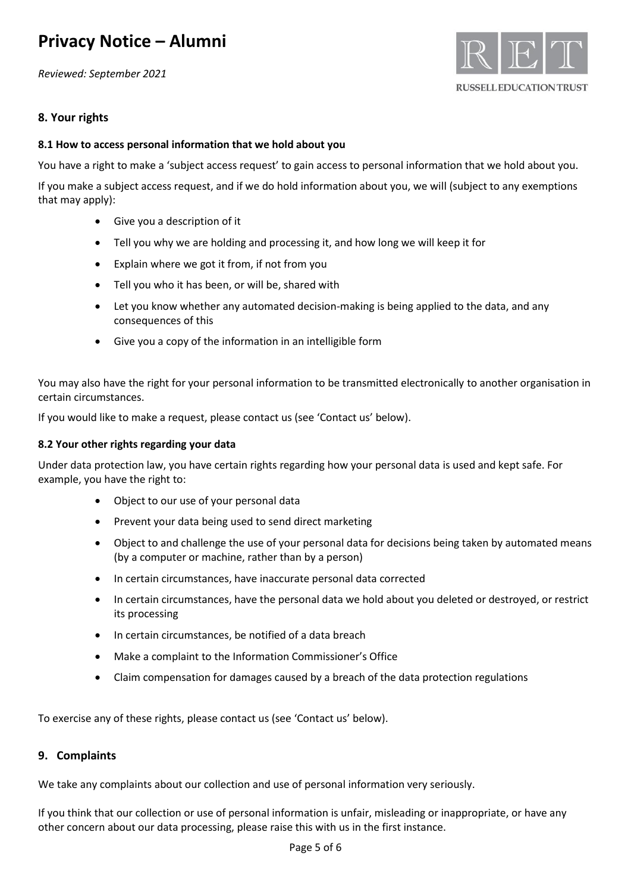*Reviewed: September 2021*



### **8. Your rights**

#### **8.1 How to access personal information that we hold about you**

You have a right to make a 'subject access request' to gain access to personal information that we hold about you.

If you make a subject access request, and if we do hold information about you, we will (subject to any exemptions that may apply):

- Give you a description of it
- Tell you why we are holding and processing it, and how long we will keep it for
- Explain where we got it from, if not from you
- Tell you who it has been, or will be, shared with
- Let you know whether any automated decision-making is being applied to the data, and any consequences of this
- Give you a copy of the information in an intelligible form

You may also have the right for your personal information to be transmitted electronically to another organisation in certain circumstances.

If you would like to make a request, please contact us (see 'Contact us' below).

#### **8.2 Your other rights regarding your data**

Under data protection law, you have certain rights regarding how your personal data is used and kept safe. For example, you have the right to:

- Object to our use of your personal data
- Prevent your data being used to send direct marketing
- Object to and challenge the use of your personal data for decisions being taken by automated means (by a computer or machine, rather than by a person)
- In certain circumstances, have inaccurate personal data corrected
- In certain circumstances, have the personal data we hold about you deleted or destroyed, or restrict its processing
- In certain circumstances, be notified of a data breach
- Make a complaint to the Information Commissioner's Office
- Claim compensation for damages caused by a breach of the data protection regulations

To exercise any of these rights, please contact us (see 'Contact us' below).

#### **9. Complaints**

We take any complaints about our collection and use of personal information very seriously.

If you think that our collection or use of personal information is unfair, misleading or inappropriate, or have any other concern about our data processing, please raise this with us in the first instance.